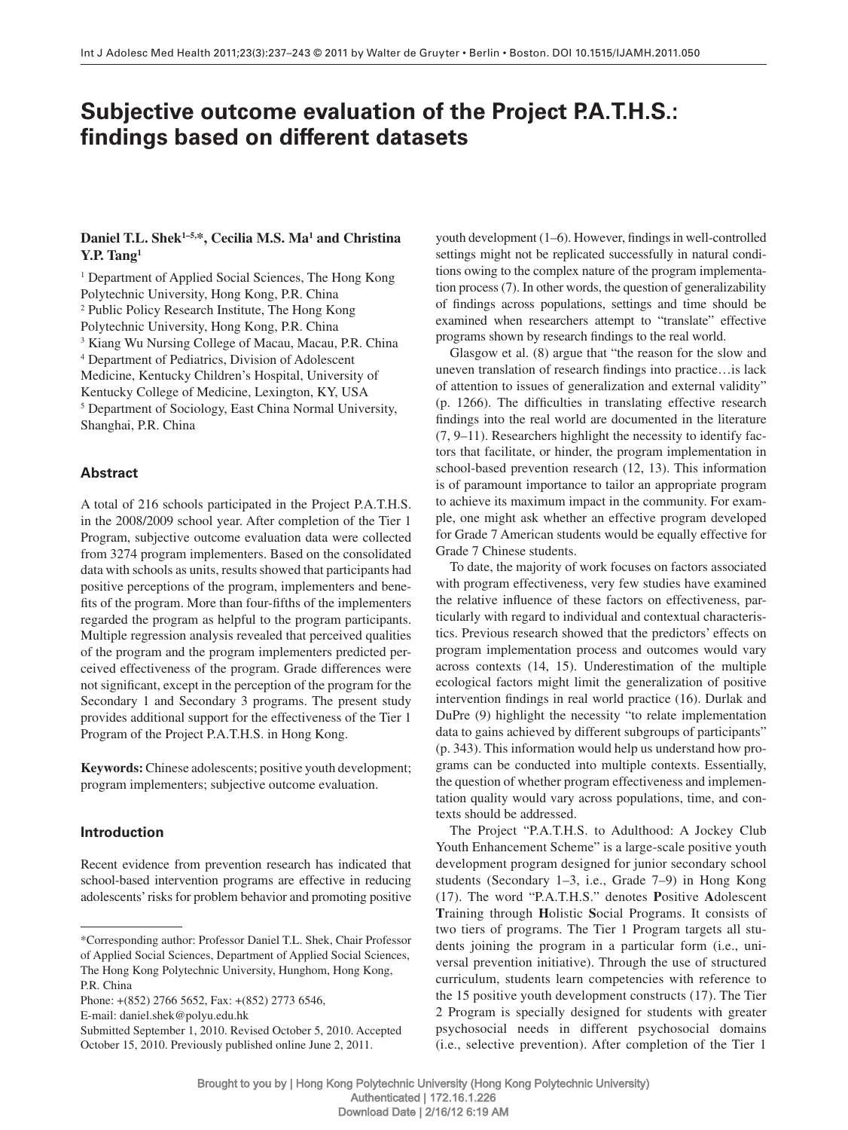# **Subjective outcome evaluation of the Project P.A.T.H.S.: fi ndings based on different datasets**

## Daniel T.L. Shek<sup>1-5,\*</sup>, Cecilia M.S. Ma<sup>1</sup> and Christina Y.P. Tang<sup>1</sup>

<sup>1</sup> Department of Applied Social Sciences, The Hong Kong Polytechnic University, Hong Kong, P.R. China <sup>2</sup> Public Policy Research Institute, The Hong Kong Polytechnic University, Hong Kong, P.R. China <sup>3</sup> Kiang Wu Nursing College of Macau, Macau, P.R. China 4 Department of Pediatrics , Division of Adolescent Medicine, Kentucky Children's Hospital, University of Kentucky College of Medicine, Lexington, KY, USA 5 Department of Sociology, East China Normal University, Shanghai, P.R. China

## **Abstract**

 A total of 216 schools participated in the Project P.A.T.H.S. in the 2008/2009 school year. After completion of the Tier 1 Program, subjective outcome evaluation data were collected from 3274 program implementers. Based on the consolidated data with schools as units, results showed that participants had positive perceptions of the program, implementers and benefits of the program. More than four-fifths of the implementers regarded the program as helpful to the program participants. Multiple regression analysis revealed that perceived qualities of the program and the program implementers predicted perceived effectiveness of the program. Grade differences were not significant, except in the perception of the program for the Secondary 1 and Secondary 3 programs. The present study provides additional support for the effectiveness of the Tier 1 Program of the Project P.A.T.H.S. in Hong Kong.

**Keywords:** Chinese adolescents; positive youth development; program implementers; subjective outcome evaluation.

## **Introduction**

 Recent evidence from prevention research has indicated that school-based intervention programs are effective in reducing adolescents ' risks for problem behavior and promoting positive

E-mail: daniel.shek@polyu.edu.hk

youth development (1-6). However, findings in well-controlled settings might not be replicated successfully in natural conditions owing to the complex nature of the program implementation process (7) . In other words, the question of generalizability of findings across populations, settings and time should be examined when researchers attempt to "translate" effective programs shown by research findings to the real world.

Glasgow et al. (8) argue that "the reason for the slow and uneven translation of research findings into practice... is lack of attention to issues of generalization and external validity"  $(p. 1266)$ . The difficulties in translating effective research findings into the real world are documented in the literature  $(7, 9-11)$ . Researchers highlight the necessity to identify factors that facilitate, or hinder, the program implementation in school-based prevention research (12, 13) . This information is of paramount importance to tailor an appropriate program to achieve its maximum impact in the community. For example, one might ask whether an effective program developed for Grade 7 American students would be equally effective for Grade 7 Chinese students.

 To date, the majority of work focuses on factors associated with program effectiveness, very few studies have examined the relative influence of these factors on effectiveness, particularly with regard to individual and contextual characteristics. Previous research showed that the predictors' effects on program implementation process and outcomes would vary across contexts (14, 15) . Underestimation of the multiple ecological factors might limit the generalization of positive intervention findings in real world practice (16). Durlak and DuPre (9) highlight the necessity "to relate implementation data to gains achieved by different subgroups of participants" (p. 343). This information would help us understand how programs can be conducted into multiple contexts. Essentially, the question of whether program effectiveness and implementation quality would vary across populations, time, and contexts should be addressed.

The Project "P.A.T.H.S. to Adulthood: A Jockey Club Youth Enhancement Scheme" is a large-scale positive youth development program designed for junior secondary school students (Secondary 1–3, i.e., Grade  $7-9$ ) in Hong Kong (17) . The word " P.A.T.H.S. " denotes **P** ositive **A** dolescent **T** raining through **H** olistic **S** ocial Programs. It consists of two tiers of programs. The Tier 1 Program targets all students joining the program in a particular form (i.e., universal prevention initiative). Through the use of structured curriculum, students learn competencies with reference to the 15 positive youth development constructs (17) . The Tier 2 Program is specially designed for students with greater psychosocial needs in different psychosocial domains (i.e., selective prevention). After completion of the Tier 1

 <sup>\*</sup>Corresponding author: Professor Daniel T.L. Shek, Chair Professor of Applied Social Sciences, Department of Applied Social Sciences, The Hong Kong Polytechnic University, Hunghom, Hong Kong, PR China

Phone: +(852) 2766 5652, Fax: +(852) 2773 6546,

Submitted September 1, 2010. Revised October 5, 2010. Accepted October 15, 2010 . Previously published online June 2, 2011.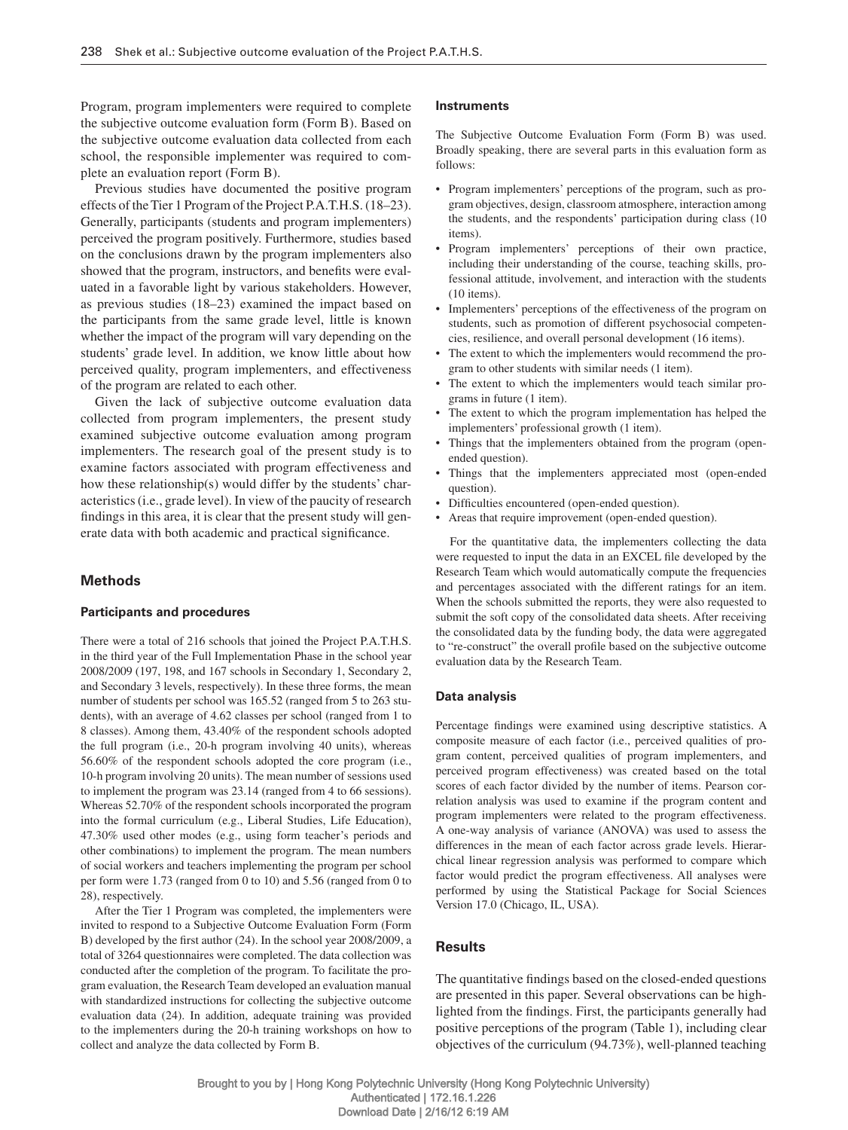Program, program implementers were required to complete the subjective outcome evaluation form (Form B). Based on the subjective outcome evaluation data collected from each school, the responsible implementer was required to complete an evaluation report (Form B).

 Previous studies have documented the positive program effects of the Tier 1 Program of the Project P.A.T.H.S. (18–23). Generally, participants (students and program implementers) perceived the program positively. Furthermore, studies based on the conclusions drawn by the program implementers also showed that the program, instructors, and benefits were evaluated in a favorable light by various stakeholders. However, as previous studies (18–23) examined the impact based on the participants from the same grade level, little is known whether the impact of the program will vary depending on the students' grade level. In addition, we know little about how perceived quality, program implementers, and effectiveness of the program are related to each other.

 Given the lack of subjective outcome evaluation data collected from program implementers, the present study examined subjective outcome evaluation among program implementers. The research goal of the present study is to examine factors associated with program effectiveness and how these relationship(s) would differ by the students' characteristics (i.e., grade level). In view of the paucity of research findings in this area, it is clear that the present study will generate data with both academic and practical significance.

### **Methods**

#### **Participants and procedures**

 There were a total of 216 schools that joined the Project P.A.T.H.S. in the third year of the Full Implementation Phase in the school year 2008/2009 (197, 198, and 167 schools in Secondary 1, Secondary 2, and Secondary 3 levels, respectively). In these three forms, the mean number of students per school was 165.52 (ranged from 5 to 263 students), with an average of 4.62 classes per school (ranged from 1 to 8 classes). Among them, 43.40% of the respondent schools adopted the full program (i.e., 20-h program involving 40 units), whereas 56.60% of the respondent schools adopted the core program (i.e., 10-h program involving 20 units). The mean number of sessions used to implement the program was 23.14 (ranged from 4 to 66 sessions). Whereas 52.70% of the respondent schools incorporated the program into the formal curriculum (e.g., Liberal Studies, Life Education), 47.30% used other modes (e.g., using form teacher's periods and other combinations) to implement the program. The mean numbers of social workers and teachers implementing the program per school per form were 1.73 (ranged from 0 to 10) and 5.56 (ranged from 0 to 28), respectively.

 After the Tier 1 Program was completed, the implementers were invited to respond to a Subjective Outcome Evaluation Form (Form B) developed by the first author (24). In the school year 2008/2009, a total of 3264 questionnaires were completed. The data collection was conducted after the completion of the program. To facilitate the program evaluation, the Research Team developed an evaluation manual with standardized instructions for collecting the subjective outcome evaluation data (24) . In addition, adequate training was provided to the implementers during the 20-h training workshops on how to collect and analyze the data collected by Form B.

#### **Instruments**

 The Subjective Outcome Evaluation Form (Form B) was used. Broadly speaking, there are several parts in this evaluation form as follows:

- Program implementers' perceptions of the program, such as program objectives, design, classroom atmosphere, interaction among the students, and the respondents' participation during class (10) items).
- Program implementers' perceptions of their own practice, including their understanding of the course, teaching skills, professional attitude, involvement, and interaction with the students  $(10$  items).
- Implementers' perceptions of the effectiveness of the program on students, such as promotion of different psychosocial competencies, resilience, and overall personal development (16 items).
- The extent to which the implementers would recommend the program to other students with similar needs (1 item).
- The extent to which the implementers would teach similar programs in future (1 item).
- The extent to which the program implementation has helped the implementers' professional growth (1 item).
- Things that the implementers obtained from the program (openended question).
- Things that the implementers appreciated most (open-ended question).
- Difficulties encountered (open-ended question).
- Areas that require improvement (open-ended question).

 For the quantitative data, the implementers collecting the data were requested to input the data in an EXCEL file developed by the Research Team which would automatically compute the frequencies and percentages associated with the different ratings for an item. When the schools submitted the reports, they were also requested to submit the soft copy of the consolidated data sheets. After receiving the consolidated data by the funding body, the data were aggregated to "re-construct" the overall profile based on the subjective outcome evaluation data by the Research Team.

#### **Data analysis**

Percentage findings were examined using descriptive statistics. A composite measure of each factor (i.e., perceived qualities of program content, perceived qualities of program implementers, and perceived program effectiveness) was created based on the total scores of each factor divided by the number of items. Pearson correlation analysis was used to examine if the program content and program implementers were related to the program effectiveness. A one-way analysis of variance (ANOVA) was used to assess the differences in the mean of each factor across grade levels. Hierarchical linear regression analysis was performed to compare which factor would predict the program effectiveness. All analyses were performed by using the Statistical Package for Social Sciences Version 17.0 (Chicago, IL, USA).

## **Results**

The quantitative findings based on the closed-ended questions are presented in this paper. Several observations can be highlighted from the findings. First, the participants generally had positive perceptions of the program (Table 1), including clear objectives of the curriculum (94.73%), well-planned teaching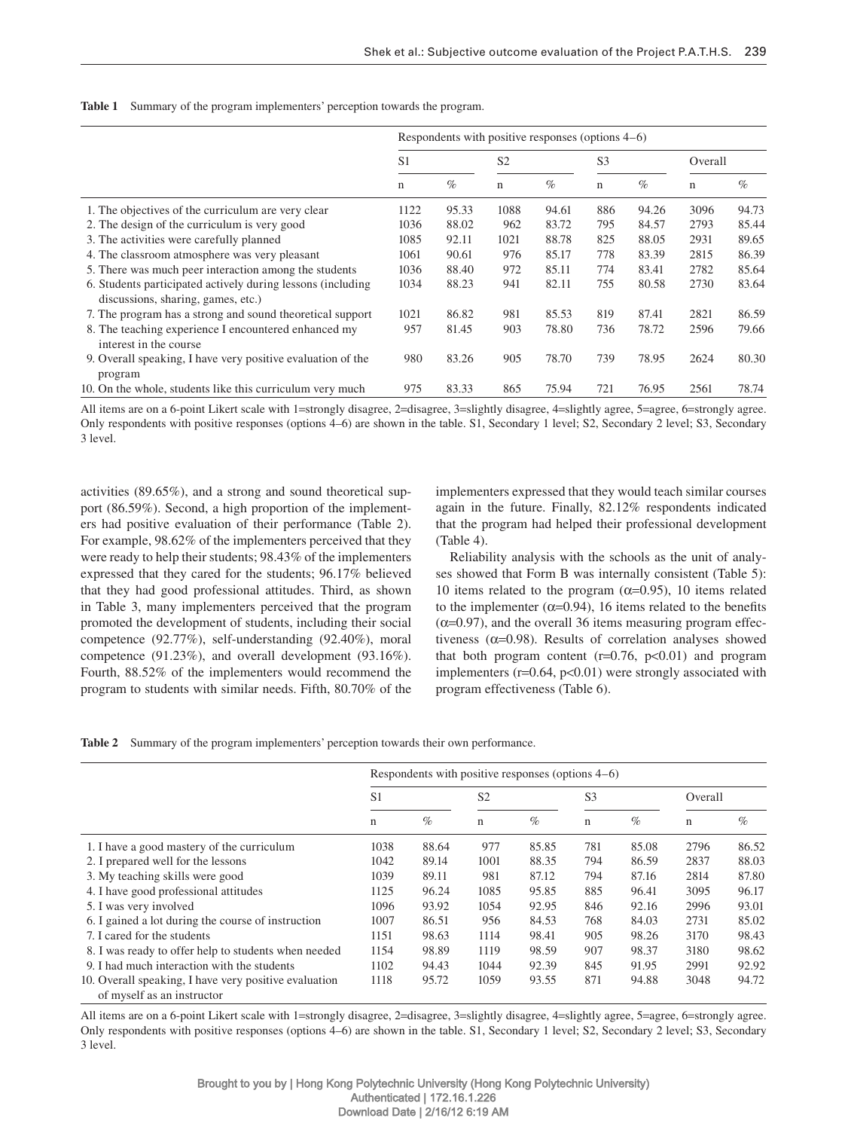**Table 1** Summary of the program implementers' perception towards the program.

|                                                                                                   | Respondents with positive responses (options $4-6$ ) |       |                |       |                |       |         |       |  |  |
|---------------------------------------------------------------------------------------------------|------------------------------------------------------|-------|----------------|-------|----------------|-------|---------|-------|--|--|
|                                                                                                   | S <sub>1</sub>                                       |       | S <sub>2</sub> |       | S <sub>3</sub> |       | Overall |       |  |  |
|                                                                                                   | $\mathbf n$                                          | $\%$  | n              | $\%$  | n              | $\%$  | n       | $\%$  |  |  |
| 1. The objectives of the curriculum are very clear                                                | 1122                                                 | 95.33 | 1088           | 94.61 | 886            | 94.26 | 3096    | 94.73 |  |  |
| 2. The design of the curriculum is very good                                                      | 1036                                                 | 88.02 | 962            | 83.72 | 795            | 84.57 | 2793    | 85.44 |  |  |
| 3. The activities were carefully planned                                                          | 1085                                                 | 92.11 | 1021           | 88.78 | 825            | 88.05 | 2931    | 89.65 |  |  |
| 4. The classroom atmosphere was very pleasant                                                     | 1061                                                 | 90.61 | 976            | 85.17 | 778            | 83.39 | 2815    | 86.39 |  |  |
| 5. There was much peer interaction among the students                                             | 1036                                                 | 88.40 | 972            | 85.11 | 774            | 83.41 | 2782    | 85.64 |  |  |
| 6. Students participated actively during lessons (including<br>discussions, sharing, games, etc.) | 1034                                                 | 88.23 | 941            | 82.11 | 755            | 80.58 | 2730    | 83.64 |  |  |
| 7. The program has a strong and sound theoretical support                                         | 1021                                                 | 86.82 | 981            | 85.53 | 819            | 87.41 | 2821    | 86.59 |  |  |
| 8. The teaching experience I encountered enhanced my<br>interest in the course                    | 957                                                  | 81.45 | 903            | 78.80 | 736            | 78.72 | 2596    | 79.66 |  |  |
| 9. Overall speaking, I have very positive evaluation of the<br>program                            | 980                                                  | 83.26 | 905            | 78.70 | 739            | 78.95 | 2624    | 80.30 |  |  |
| 10. On the whole, students like this curriculum very much                                         | 975                                                  | 83.33 | 865            | 75.94 | 721            | 76.95 | 2561    | 78.74 |  |  |

All items are on a 6-point Likert scale with 1=strongly disagree, 2=disagree, 3=slightly disagree, 4=slightly agree, 5=agree, 6=strongly agree. Only respondents with positive responses (options 4–6) are shown in the table. S1, Secondary 1 level; S2, Secondary 2 level; S3, Secondary 3 level.

activities  $(89.65\%)$ , and a strong and sound theoretical support  $(86.59\%)$ . Second, a high proportion of the implementers had positive evaluation of their performance (Table 2). For example, 98.62% of the implementers perceived that they were ready to help their students; 98.43% of the implementers expressed that they cared for the students; 96.17% believed that they had good professional attitudes. Third, as shown in Table 3, many implementers perceived that the program promoted the development of students, including their social competence  $(92.77\%)$ , self-understanding  $(92.40\%)$ , moral competence  $(91.23\%)$ , and overall development  $(93.16\%)$ . Fourth, 88.52% of the implementers would recommend the program to students with similar needs. Fifth, 80.70% of the

implementers expressed that they would teach similar courses again in the future. Finally,  $82.12\%$  respondents indicated that the program had helped their professional development  $(Table 4)$ .

 Reliability analysis with the schools as the unit of analyses showed that Form B was internally consistent (Table 5): 10 items related to the program  $(\alpha=0.95)$ , 10 items related to the implementer ( $\alpha$ =0.94), 16 items related to the benefits  $(\alpha=0.97)$ , and the overall 36 items measuring program effectiveness ( $\alpha$ =0.98). Results of correlation analyses showed that both program content  $(r=0.76, p<0.01)$  and program implementers  $(r=0.64, p<0.01)$  were strongly associated with program effectiveness (Table 6).

Table 2 Summary of the program implementers' perception towards their own performance.

|                                                                                     | Respondents with positive responses (options $4-6$ ) |       |                |       |                |       |             |       |  |
|-------------------------------------------------------------------------------------|------------------------------------------------------|-------|----------------|-------|----------------|-------|-------------|-------|--|
|                                                                                     | S <sub>1</sub>                                       |       | S <sub>2</sub> |       | S <sub>3</sub> |       | Overall     |       |  |
|                                                                                     | n                                                    | $\%$  | $\mathbf n$    | $\%$  | n              | $\%$  | $\mathbf n$ | $\%$  |  |
| 1. I have a good mastery of the curriculum                                          | 1038                                                 | 88.64 | 977            | 85.85 | 781            | 85.08 | 2796        | 86.52 |  |
| 2. I prepared well for the lessons                                                  | 1042                                                 | 89.14 | 1001           | 88.35 | 794            | 86.59 | 2837        | 88.03 |  |
| 3. My teaching skills were good                                                     | 1039                                                 | 89.11 | 981            | 87.12 | 794            | 87.16 | 2814        | 87.80 |  |
| 4. I have good professional attitudes                                               | 1125                                                 | 96.24 | 1085           | 95.85 | 885            | 96.41 | 3095        | 96.17 |  |
| 5. I was very involved                                                              | 1096                                                 | 93.92 | 1054           | 92.95 | 846            | 92.16 | 2996        | 93.01 |  |
| 6. I gained a lot during the course of instruction                                  | 1007                                                 | 86.51 | 956            | 84.53 | 768            | 84.03 | 2731        | 85.02 |  |
| 7. I cared for the students                                                         | 1151                                                 | 98.63 | 1114           | 98.41 | 905            | 98.26 | 3170        | 98.43 |  |
| 8. I was ready to offer help to students when needed                                | 1154                                                 | 98.89 | 1119           | 98.59 | 907            | 98.37 | 3180        | 98.62 |  |
| 9. I had much interaction with the students                                         | 1102                                                 | 94.43 | 1044           | 92.39 | 845            | 91.95 | 2991        | 92.92 |  |
| 10. Overall speaking, I have very positive evaluation<br>of myself as an instructor | 1118                                                 | 95.72 | 1059           | 93.55 | 871            | 94.88 | 3048        | 94.72 |  |

All items are on a 6-point Likert scale with 1=strongly disagree, 2=disagree, 3=slightly disagree, 4=slightly agree, 5=agree, 6=strongly agree. Only respondents with positive responses (options 4–6) are shown in the table. S1, Secondary 1 level; S2, Secondary 2 level; S3, Secondary 3 level.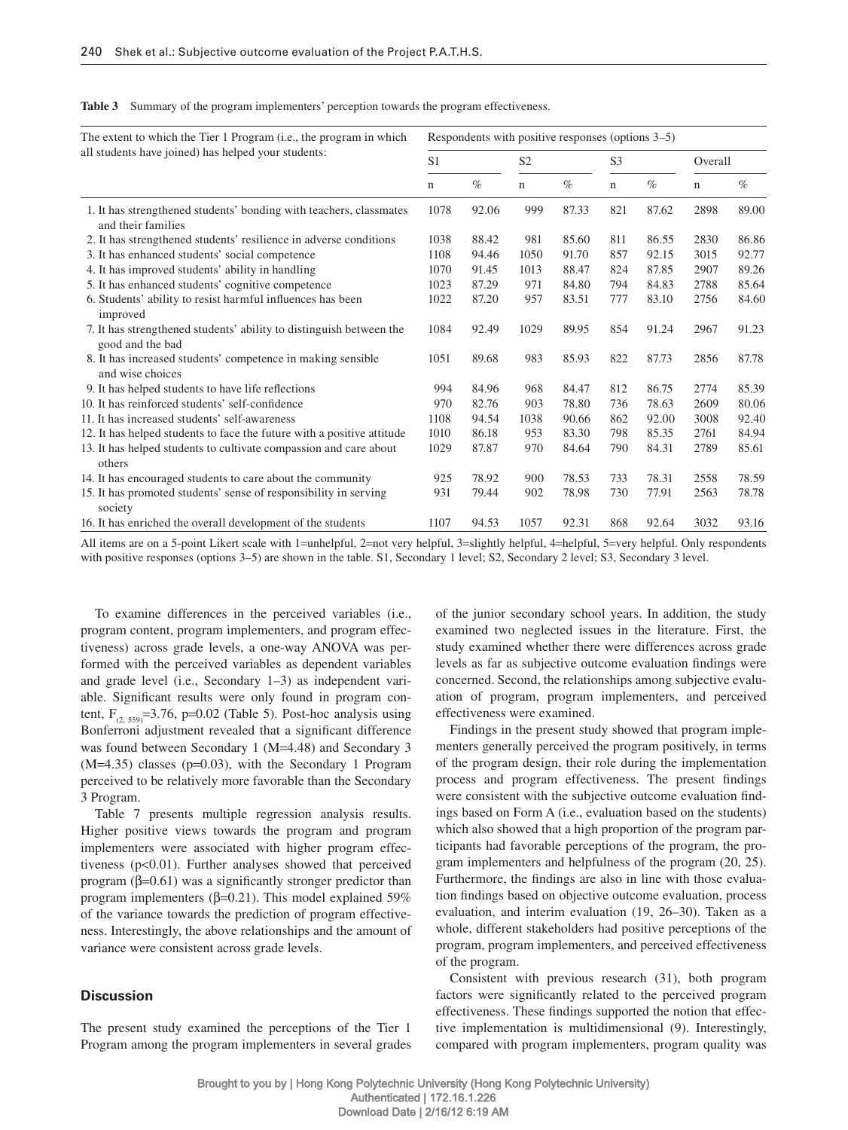| The extent to which the Tier 1 Program (i.e., the program in which<br>all students have joined) has helped your students: |             | Respondents with positive responses (options $3-5$ ) |             |                |             |                |      |         |  |
|---------------------------------------------------------------------------------------------------------------------------|-------------|------------------------------------------------------|-------------|----------------|-------------|----------------|------|---------|--|
|                                                                                                                           |             | S <sub>1</sub>                                       |             | S <sub>2</sub> |             | S <sub>3</sub> |      | Overall |  |
|                                                                                                                           | $\mathbf n$ | $\%$                                                 | $\mathbf n$ | $\%$           | $\mathbf n$ | $\%$           | n    | $\%$    |  |
| 1. It has strengthened students' bonding with teachers, classmates<br>and their families                                  | 1078        | 92.06                                                | 999         | 87.33          | 821         | 87.62          | 2898 | 89.00   |  |
| 2. It has strengthened students' resilience in adverse conditions                                                         | 1038        | 88.42                                                | 981         | 85.60          | 811         | 86.55          | 2830 | 86.86   |  |
| 3. It has enhanced students' social competence                                                                            | 1108        | 94.46                                                | 1050        | 91.70          | 857         | 92.15          | 3015 | 92.77   |  |
| 4. It has improved students' ability in handling                                                                          | 1070        | 91.45                                                | 1013        | 88.47          | 824         | 87.85          | 2907 | 89.26   |  |
| 5. It has enhanced students' cognitive competence                                                                         | 1023        | 87.29                                                | 971         | 84.80          | 794         | 84.83          | 2788 | 85.64   |  |
| 6. Students' ability to resist harmful influences has been<br>improved                                                    | 1022        | 87.20                                                | 957         | 83.51          | 777         | 83.10          | 2756 | 84.60   |  |
| 7. It has strengthened students' ability to distinguish between the<br>good and the bad                                   | 1084        | 92.49                                                | 1029        | 89.95          | 854         | 91.24          | 2967 | 91.23   |  |
| 8. It has increased students' competence in making sensible<br>and wise choices                                           | 1051        | 89.68                                                | 983         | 85.93          | 822         | 87.73          | 2856 | 87.78   |  |
| 9. It has helped students to have life reflections                                                                        | 994         | 84.96                                                | 968         | 84.47          | 812         | 86.75          | 2774 | 85.39   |  |
| 10. It has reinforced students' self-confidence                                                                           | 970         | 82.76                                                | 903         | 78.80          | 736         | 78.63          | 2609 | 80.06   |  |
| 11. It has increased students' self-awareness                                                                             | 1108        | 94.54                                                | 1038        | 90.66          | 862         | 92.00          | 3008 | 92.40   |  |
| 12. It has helped students to face the future with a positive attitude                                                    | 1010        | 86.18                                                | 953         | 83.30          | 798         | 85.35          | 2761 | 84.94   |  |
| 13. It has helped students to cultivate compassion and care about<br>others                                               | 1029        | 87.87                                                | 970         | 84.64          | 790         | 84.31          | 2789 | 85.61   |  |
| 14. It has encouraged students to care about the community                                                                | 925         | 78.92                                                | 900         | 78.53          | 733         | 78.31          | 2558 | 78.59   |  |
| 15. It has promoted students' sense of responsibility in serving<br>society                                               | 931         | 79.44                                                | 902         | 78.98          | 730         | 77.91          | 2563 | 78.78   |  |
| 16. It has enriched the overall development of the students                                                               | 1107        | 94.53                                                | 1057        | 92.31          | 868         | 92.64          | 3032 | 93.16   |  |

#### **Table 3** Summary of the program implementers' perception towards the program effectiveness.

All items are on a 5-point Likert scale with 1=unhelpful, 2=not very helpful, 3=slightly helpful, 4=helpful, 5=very helpful. Only respondents with positive responses (options 3–5) are shown in the table. S1, Secondary 1 level; S2, Secondary 2 level; S3, Secondary 3 level.

 To examine differences in the perceived variables (i.e., program content, program implementers, and program effectiveness) across grade levels, a one-way ANOVA was performed with the perceived variables as dependent variables and grade level (i.e., Secondary  $1-3$ ) as independent variable. Significant results were only found in program content,  $F_{(2, 559)} = 3.76$ , p=0.02 (Table 5). Post-hoc analysis using Bonferroni adjustment revealed that a significant difference was found between Secondary 1 ( $M=4.48$ ) and Secondary 3  $(M=4.35)$  classes ( $p=0.03$ ), with the Secondary 1 Program perceived to be relatively more favorable than the Secondary 3 Program.

Table 7 presents multiple regression analysis results. Higher positive views towards the program and program implementers were associated with higher program effectiveness ( $p < 0.01$ ). Further analyses showed that perceived program ( $β=0.61$ ) was a significantly stronger predictor than program implementers ( $β=0.21$ ). This model explained 59% of the variance towards the prediction of program effectiveness. Interestingly, the above relationships and the amount of variance were consistent across grade levels.

## **Discussion**

 The present study examined the perceptions of the Tier 1 Program among the program implementers in several grades of the junior secondary school years. In addition, the study examined two neglected issues in the literature. First, the study examined whether there were differences across grade levels as far as subjective outcome evaluation findings were concerned. Second, the relationships among subjective evaluation of program, program implementers, and perceived effectiveness were examined.

 Findings in the present study showed that program implementers generally perceived the program positively, in terms of the program design, their role during the implementation process and program effectiveness. The present findings were consistent with the subjective outcome evaluation findings based on Form A (i.e., evaluation based on the students) which also showed that a high proportion of the program participants had favorable perceptions of the program, the program implementers and helpfulness of the program (20, 25) . Furthermore, the findings are also in line with those evaluation findings based on objective outcome evaluation, process evaluation, and interim evaluation (19, 26-30). Taken as a whole, different stakeholders had positive perceptions of the program, program implementers, and perceived effectiveness of the program.

Consistent with previous research (31), both program factors were significantly related to the perceived program effectiveness. These findings supported the notion that effective implementation is multidimensional (9). Interestingly, compared with program implementers, program quality was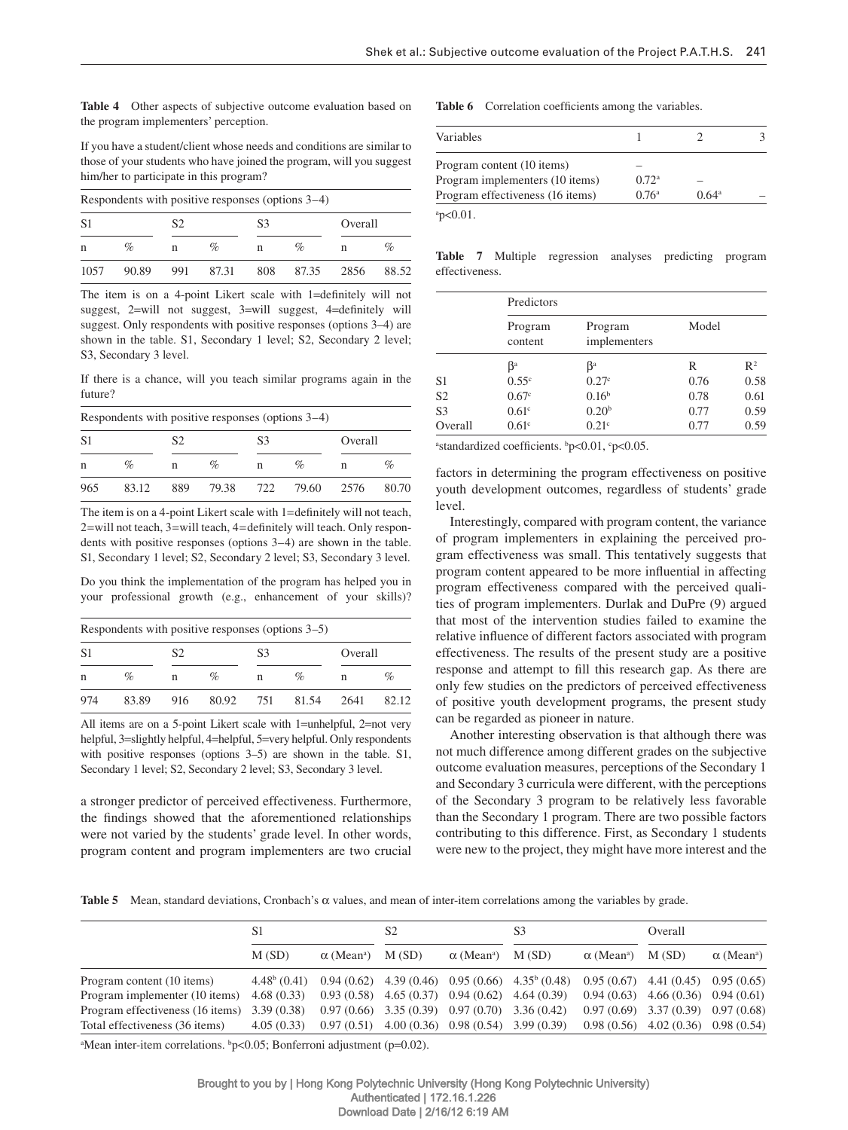**Table 4** Other aspects of subjective outcome evaluation based on the program implementers' perception.

If you have a student/client whose needs and conditions are similar to those of your students who have joined the program, will you suggest him/her to participate in this program?

| Respondents with positive responses (options 3–4) |       |     |       |     |       |         |       |  |  |  |
|---------------------------------------------------|-------|-----|-------|-----|-------|---------|-------|--|--|--|
| -S1                                               |       | S2  |       | S3  |       | Overall |       |  |  |  |
| n                                                 | $\%$  | n   | $\%$  | n   | $\%$  |         | %     |  |  |  |
| 1057                                              | 90.89 | 991 | 87.31 | 808 | 87.35 | 2856    | 88.52 |  |  |  |

The item is on a 4-point Likert scale with 1=definitely will not suggest, 2=will not suggest, 3=will suggest, 4=definitely will suggest. Only respondents with positive responses (options 3–4) are shown in the table. S1, Secondary 1 level; S2, Secondary 2 level; S3, Secondary 3 level.

If there is a chance, will you teach similar programs again in the future?

| Respondents with positive responses (options 3–4) |       |     |       |     |       |         |       |  |  |  |
|---------------------------------------------------|-------|-----|-------|-----|-------|---------|-------|--|--|--|
| S1                                                |       | S2  |       | S3  |       | Overall |       |  |  |  |
| n                                                 | $\%$  | n   | $\%$  | n   | $\%$  | n       | $\%$  |  |  |  |
| 965                                               | 83.12 | 889 | 79.38 | 722 | 79.60 | 2576    | 80.70 |  |  |  |

The item is on a 4-point Likert scale with 1=definitely will not teach, 2=will not teach, 3=will teach, 4=definitely will teach. Only respondents with positive responses (options 3–4) are shown in the table. S1, Secondary 1 level; S2, Secondary 2 level; S3, Secondary 3 level.

Do you think the implementation of the program has helped you in your professional growth (e.g., enhancement of your skills)?

| Respondents with positive responses (options $3-5$ ) |       |     |           |   |       |         |       |  |  |  |
|------------------------------------------------------|-------|-----|-----------|---|-------|---------|-------|--|--|--|
| S1                                                   |       | S2. |           |   |       | Overall |       |  |  |  |
| n                                                    | $\%$  | n   | $\%$      | n | $\%$  | n       | $\%$  |  |  |  |
| 974                                                  | 83.89 | 916 | 80.92 751 |   | 81.54 | 2641    | 82.12 |  |  |  |

All items are on a 5-point Likert scale with 1=unhelpful, 2=not very helpful, 3=slightly helpful, 4=helpful, 5=very helpful. Only respondents with positive responses (options  $3-5$ ) are shown in the table. S1, Secondary 1 level; S2, Secondary 2 level; S3, Secondary 3 level.

a stronger predictor of perceived effectiveness. Furthermore, the findings showed that the aforementioned relationships were not varied by the students' grade level. In other words, program content and program implementers are two crucial **Table 6** Correlation coefficients among the variables.

| Variables                        |                   |          |  |
|----------------------------------|-------------------|----------|--|
| Program content (10 items)       |                   |          |  |
| Program implementers (10 items)  | 0.72 <sup>a</sup> |          |  |
| Program effectiveness (16 items) | 0.76 <sup>a</sup> | $0.64^a$ |  |
| $\degree$ p<0.01.                |                   |          |  |

**Table 7** Multiple regression analyses predicting program effectiveness.

|                | Predictors         |                         |       |       |  |  |  |  |  |
|----------------|--------------------|-------------------------|-------|-------|--|--|--|--|--|
|                | Program<br>content | Program<br>implementers | Model |       |  |  |  |  |  |
|                | Bª                 | B <sup>a</sup>          | R     | $R^2$ |  |  |  |  |  |
| S1             | 0.55c              | 0.27c                   | 0.76  | 0.58  |  |  |  |  |  |
| S <sub>2</sub> | 0.67 <sup>c</sup>  | 0.16 <sup>b</sup>       | 0.78  | 0.61  |  |  |  |  |  |
| S <sub>3</sub> | 0.61 <sup>c</sup>  | 0.20 <sup>b</sup>       | 0.77  | 0.59  |  |  |  |  |  |
| Overall        | 0.61 <sup>c</sup>  | 0.21 <sup>c</sup>       | 0.77  | 0.59  |  |  |  |  |  |

<sup>a</sup>standardized coefficients. bp<0.01, cp<0.05.

factors in determining the program effectiveness on positive youth development outcomes, regardless of students' grade level.

 Interestingly, compared with program content, the variance of program implementers in explaining the perceived program effectiveness was small. This tentatively suggests that program content appeared to be more influential in affecting program effectiveness compared with the perceived qualities of program implementers. Durlak and DuPre (9) argued that most of the intervention studies failed to examine the relative influence of different factors associated with program effectiveness. The results of the present study are a positive response and attempt to fill this research gap. As there are only few studies on the predictors of perceived effectiveness of positive youth development programs, the present study can be regarded as pioneer in nature.

 Another interesting observation is that although there was not much difference among different grades on the subjective outcome evaluation measures, perceptions of the Secondary 1 and Secondary 3 curricula were different, with the perceptions of the Secondary 3 program to be relatively less favorable than the Secondary 1 program. There are two possible factors contributing to this difference. First, as Secondary 1 students were new to the project, they might have more interest and the

**Table 5** Mean, standard deviations, Cronbach's α values, and mean of inter-item correlations among the variables by grade.

|                                                                                              | S1         |                                                  |                                                  |                                      | S3                                                                                    |                                      | Overall                                  |                               |
|----------------------------------------------------------------------------------------------|------------|--------------------------------------------------|--------------------------------------------------|--------------------------------------|---------------------------------------------------------------------------------------|--------------------------------------|------------------------------------------|-------------------------------|
|                                                                                              | M(SD)      | $\alpha$ (Mean <sup>a</sup> ) M (SD)             |                                                  | $\alpha$ (Mean <sup>a</sup> ) M (SD) |                                                                                       | $\alpha$ (Mean <sup>a</sup> ) M (SD) |                                          | $\alpha$ (Mean <sup>a</sup> ) |
| Program content (10 items)                                                                   |            |                                                  |                                                  |                                      | 4.48 <sup>b</sup> (0.41) 0.94 (0.62) 4.39 (0.46) 0.95 (0.66) 4.35 <sup>b</sup> (0.48) |                                      | $0.95(0.67)$ 4.41 (0.45)                 | 0.95(0.65)                    |
| Program implementer (10 items)                                                               | 4.68(0.33) | $0.93(0.58)$ 4.65 (0.37) 0.94 (0.62) 4.64 (0.39) |                                                  |                                      |                                                                                       |                                      | $0.94(0.63)$ 4.66 (0.36) 0.94 (0.61)     |                               |
| Program effectiveness (16 items) 3.39 (0.38) 0.97 (0.66) 3.35 (0.39) 0.97 (0.70) 3.36 (0.42) |            |                                                  |                                                  |                                      |                                                                                       |                                      | $0.97(0.69)$ 3.37 $(0.39)$ 0.97 $(0.68)$ |                               |
| Total effectiveness (36 items)                                                               | 4.05(0.33) |                                                  | $0.97(0.51)$ 4.00 (0.36) 0.98 (0.54) 3.99 (0.39) |                                      |                                                                                       |                                      | $0.98(0.56)$ 4.02 (0.36) 0.98 (0.54)     |                               |

<sup>a</sup>Mean inter-item correlations.  $\frac{b}{2}$  = 0.05; Bonferroni adjustment (p=0.02).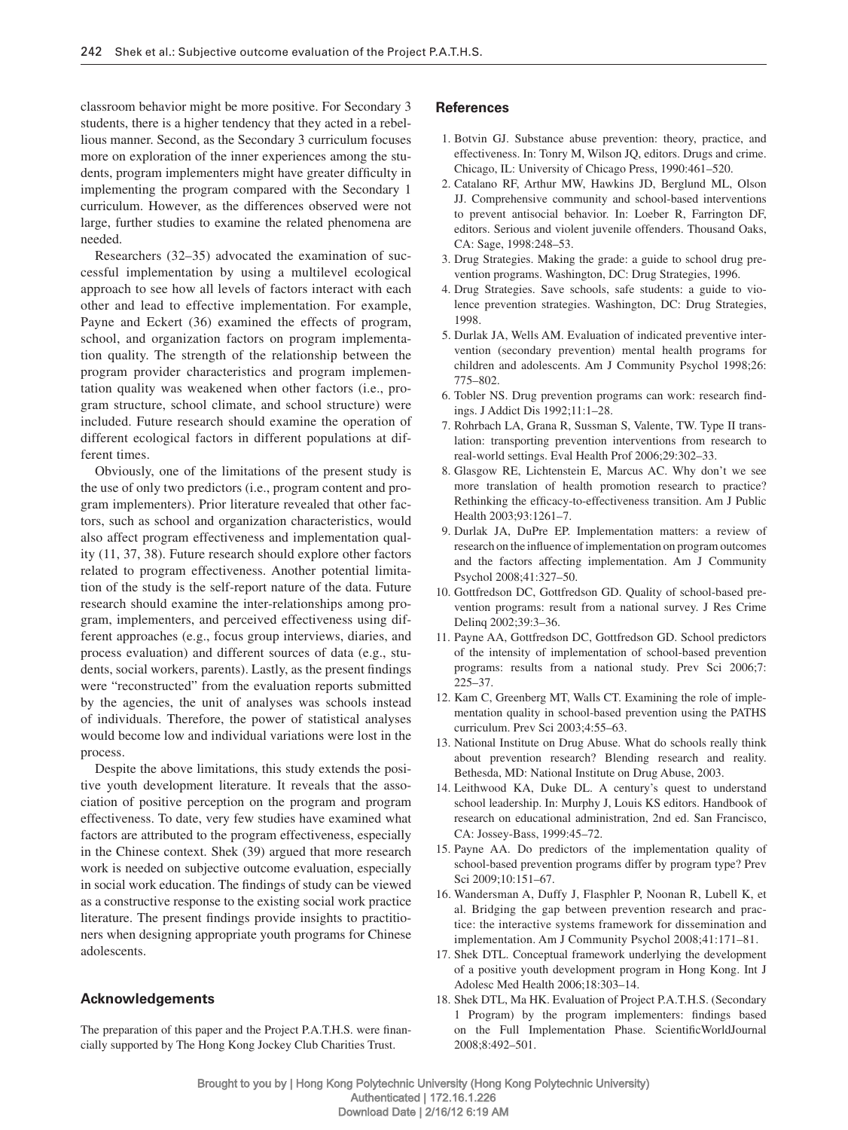classroom behavior might be more positive. For Secondary 3 students, there is a higher tendency that they acted in a rebellious manner. Second, as the Secondary 3 curriculum focuses more on exploration of the inner experiences among the students, program implementers might have greater difficulty in implementing the program compared with the Secondary 1 curriculum. However, as the differences observed were not large, further studies to examine the related phenomena are needed.

Researchers (32–35) advocated the examination of successful implementation by using a multilevel ecological approach to see how all levels of factors interact with each other and lead to effective implementation. For example, Payne and Eckert (36) examined the effects of program, school, and organization factors on program implementation quality. The strength of the relationship between the program provider characteristics and program implementation quality was weakened when other factors (i.e., program structure, school climate, and school structure) were included. Future research should examine the operation of different ecological factors in different populations at different times.

 Obviously, one of the limitations of the present study is the use of only two predictors (i.e., program content and program implementers). Prior literature revealed that other factors, such as school and organization characteristics, would also affect program effectiveness and implementation quality (11, 37, 38) . Future research should explore other factors related to program effectiveness. Another potential limitation of the study is the self-report nature of the data. Future research should examine the inter-relationships among program, implementers, and perceived effectiveness using different approaches (e.g., focus group interviews, diaries, and process evaluation) and different sources of data (e.g., students, social workers, parents). Lastly, as the present findings were "reconstructed" from the evaluation reports submitted by the agencies, the unit of analyses was schools instead of individuals. Therefore, the power of statistical analyses would become low and individual variations were lost in the process.

 Despite the above limitations, this study extends the positive youth development literature. It reveals that the association of positive perception on the program and program effectiveness. To date, very few studies have examined what factors are attributed to the program effectiveness, especially in the Chinese context. Shek (39) argued that more research work is needed on subjective outcome evaluation, especially in social work education. The findings of study can be viewed as a constructive response to the existing social work practice literature. The present findings provide insights to practitioners when designing appropriate youth programs for Chinese adolescents.

## **Acknowledgements**

The preparation of this paper and the Project P.A.T.H.S. were financially supported by The Hong Kong Jockey Club Charities Trust.

## **References**

- 1. Botvin GJ. Substance abuse prevention: theory, practice, and effectiveness. In: Tonry M, Wilson JQ, editors. Drugs and crime. Chicago, IL: University of Chicago Press, 1990:461-520.
- 2. Catalano RF, Arthur MW, Hawkins JD, Berglund ML, Olson JJ. Comprehensive community and school-based interventions to prevent antisocial behavior. In: Loeber R, Farrington DF, editors. Serious and violent juvenile offenders. Thousand Oaks, CA: Sage, 1998:248–53.
- 3. Drug Strategies. Making the grade: a guide to school drug prevention programs. Washington, DC: Drug Strategies, 1996.
- 4. Drug Strategies. Save schools, safe students: a guide to violence prevention strategies. Washington, DC: Drug Strategies, 1998.
- 5. Durlak JA, Wells AM. Evaluation of indicated preventive intervention (secondary prevention) mental health programs for children and adolescents. Am J Community Psychol 1998;26: 775 – 802.
- 6. Tobler NS. Drug prevention programs can work: research findings. J Addict Dis 1992;11:1-28.
- 7. Rohrbach LA, Grana R, Sussman S, Valente, TW. Type II translation: transporting prevention interventions from research to real-world settings. Eval Health Prof 2006;29:302-33.
- 8. Glasgow RE, Lichtenstein E, Marcus AC. Why don't we see more translation of health promotion research to practice? Rethinking the efficacy-to-effectiveness transition. Am J Public Health 2003;93:1261-7.
- 9. Durlak JA, DuPre EP. Implementation matters: a review of research on the influence of implementation on program outcomes and the factors affecting implementation. Am J Community Psychol 2008;41:327-50.
- 10. Gottfredson DC, Gottfredson GD. Quality of school-based prevention programs: result from a national survey. J Res Crime Delinq 2002;39:3-36.
- 11. Payne AA, Gottfredson DC, Gottfredson GD. School predictors of the intensity of implementation of school-based prevention programs: results from a national study. Prev Sci 2006;7:  $225 - 37.$
- 12. Kam C, Greenberg MT, Walls CT. Examining the role of implementation quality in school-based prevention using the PATHS curriculum. Prev Sci 2003;4:55-63.
- 13. National Institute on Drug Abuse. What do schools really think about prevention research ? Blending research and reality. Bethesda, MD: National Institute on Drug Abuse, 2003.
- 14. Leithwood KA, Duke DL. A century's quest to understand school leadership. In: Murphy J, Louis KS editors. Handbook of research on educational administration, 2nd ed. San Francisco, CA: Jossey-Bass, 1999:45-72.
- 15. Payne AA. Do predictors of the implementation quality of school-based prevention programs differ by program type? Prev Sci 2009;10:151-67.
- 16. Wandersman A, Duffy J, Flasphler P, Noonan R, Lubell K, et al. Bridging the gap between prevention research and practice: the interactive systems framework for dissemination and implementation. Am J Community Psychol 2008;41:171-81.
- 17. Shek DTL. Conceptual framework underlying the development of a positive youth development program in Hong Kong. Int J Adolesc Med Health 2006;18:303-14.
- 18. Shek DTL, Ma HK. Evaluation of Project P.A.T.H.S. (Secondary 1 Program) by the program implementers: findings based on the Full Implementation Phase. Scientific WorldJournal 2008;8:492-501.